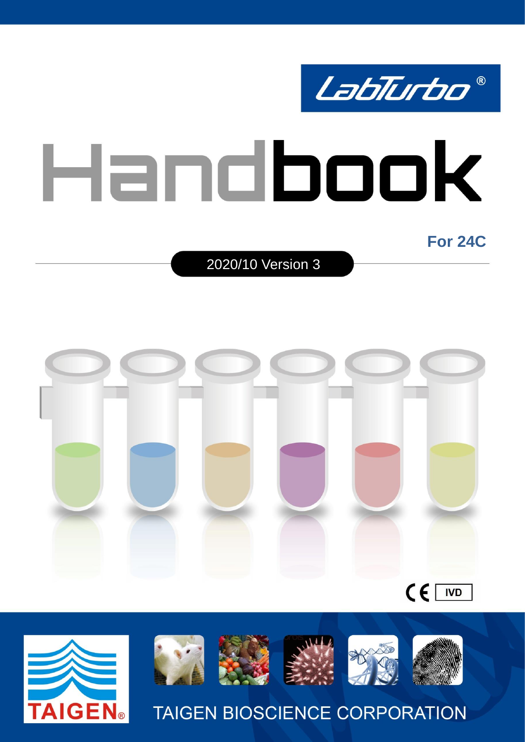

2020/10 Version 3





**AIGEN**®

**TAIGEN BIOSCIENCE CORPORATION**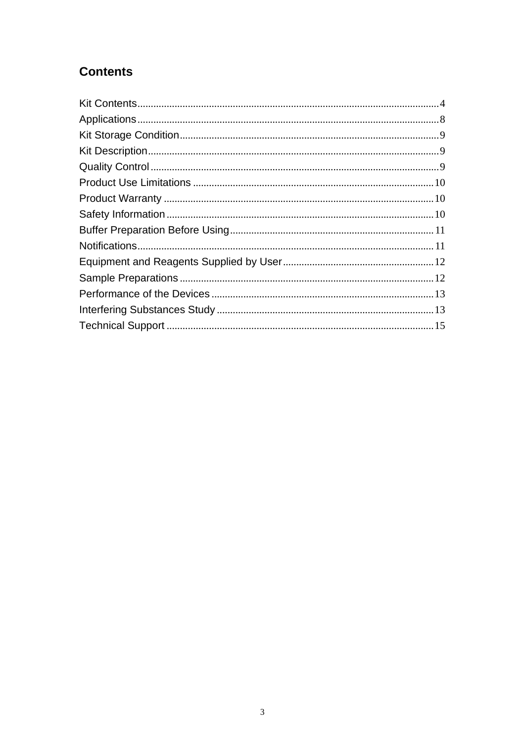# **Contents**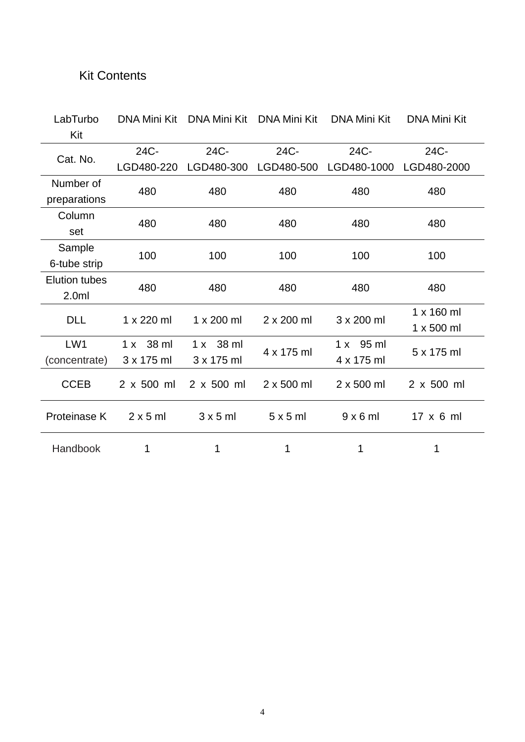# <span id="page-3-0"></span>Kit Contents

| LabTurbo             | <b>DNA Mini Kit</b> | DNA Mini Kit      | <b>DNA Mini Kit</b> | <b>DNA Mini Kit</b> | <b>DNA Mini Kit</b> |
|----------------------|---------------------|-------------------|---------------------|---------------------|---------------------|
| Kit                  |                     |                   |                     |                     |                     |
|                      | 24C-                | 24C-              | 24C-                | 24C-                | 24C-                |
| Cat. No.             | LGD480-220          | LGD480-300        | LGD480-500          | LGD480-1000         | LGD480-2000         |
| Number of            |                     |                   |                     |                     |                     |
| preparations         | 480                 | 480               | 480                 | 480                 | 480                 |
| Column               |                     |                   |                     |                     |                     |
| set                  | 480                 | 480               | 480                 | 480                 | 480                 |
| Sample               |                     |                   |                     |                     |                     |
| 6-tube strip         | 100                 | 100               | 100                 | 100                 | 100                 |
| <b>Elution tubes</b> |                     |                   |                     |                     |                     |
| 2.0ml                | 480                 | 480               | 480                 | 480                 | 480                 |
| <b>DLL</b>           | 1 x 220 ml          | 1 x 200 ml        | $2 \times 200$ ml   | 3 x 200 ml          | $1 \times 160$ ml   |
|                      |                     |                   |                     |                     | 1 x 500 ml          |
| LW1                  | 1 x 38 ml           | 38 ml<br>1 x      |                     | 1 x 95 ml           |                     |
| (concentrate)        | 3 x 175 ml          | $3 \times 175$ ml | 4 x 175 ml          | 4 x 175 ml          | 5 x 175 ml          |
| <b>CCEB</b>          | 2 x 500 ml          | $2 \times 500$ ml | $2 \times 500$ ml   | $2 \times 500$ ml   | 2 x 500 ml          |
|                      |                     |                   |                     |                     |                     |
| Proteinase K         | $2 \times 5$ ml     | $3 \times 5$ ml   | $5 \times 5$ ml     | $9 \times 6$ ml     | $17 \times 6$ ml    |
|                      |                     |                   |                     |                     |                     |
| Handbook             | 1                   | 1                 | 1                   | 1                   | 1                   |
|                      |                     |                   |                     |                     |                     |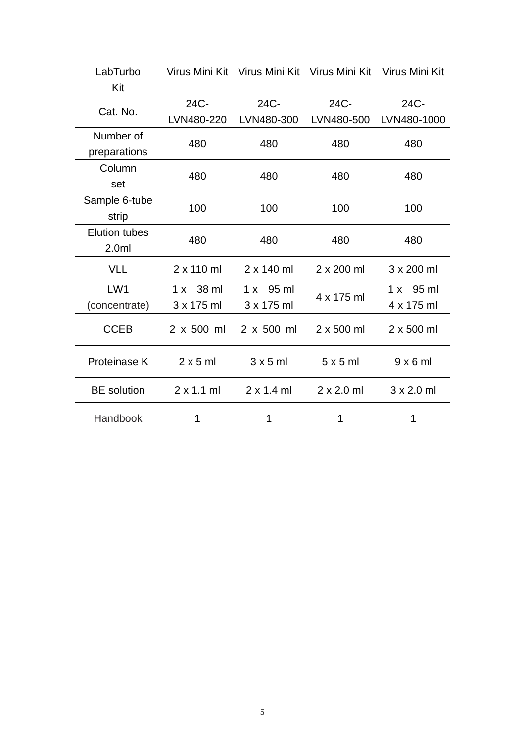| LabTurbo             |                   | Virus Mini Kit Virus Mini Kit Virus Mini Kit Virus Mini Kit |                   |                   |  |
|----------------------|-------------------|-------------------------------------------------------------|-------------------|-------------------|--|
| Kit                  |                   |                                                             |                   |                   |  |
| Cat. No.             | 24C-              | 24C-                                                        | 24C-              | 24C-              |  |
|                      | LVN480-220        | LVN480-300                                                  | LVN480-500        | LVN480-1000       |  |
| Number of            | 480               | 480                                                         | 480               | 480               |  |
| preparations         |                   |                                                             |                   |                   |  |
| Column               | 480               | 480                                                         | 480               | 480               |  |
| set                  |                   |                                                             |                   |                   |  |
| Sample 6-tube        | 100               | 100                                                         | 100               | 100               |  |
| strip                |                   |                                                             |                   |                   |  |
| <b>Elution tubes</b> | 480               | 480                                                         | 480               | 480               |  |
| 2.0 <sub>m</sub>     |                   |                                                             |                   |                   |  |
| <b>VLL</b>           | $2 \times 110$ ml | $2 \times 140$ ml                                           | 2 x 200 ml        | 3 x 200 ml        |  |
| LW <sub>1</sub>      | $1 x 38$ ml       | $1 \times 95$ ml                                            | 4 x 175 ml        | $1 \times 95$ ml  |  |
| (concentrate)        | 3 x 175 ml        | 3 x 175 ml                                                  |                   | 4 x 175 ml        |  |
| <b>CCEB</b>          | $2 \times 500$ ml | 2 x 500 ml                                                  | $2 \times 500$ ml | $2 \times 500$ ml |  |
| Proteinase K         | $2 \times 5$ ml   | $3 \times 5$ ml                                             | 5x5m              | $9 \times 6$ ml   |  |
| <b>BE</b> solution   | $2 \times 1.1$ ml | $2 \times 1.4$ ml                                           | $2 \times 2.0$ ml | $3 \times 2.0$ ml |  |
| Handbook             | 1                 | 1                                                           | 1                 | 1                 |  |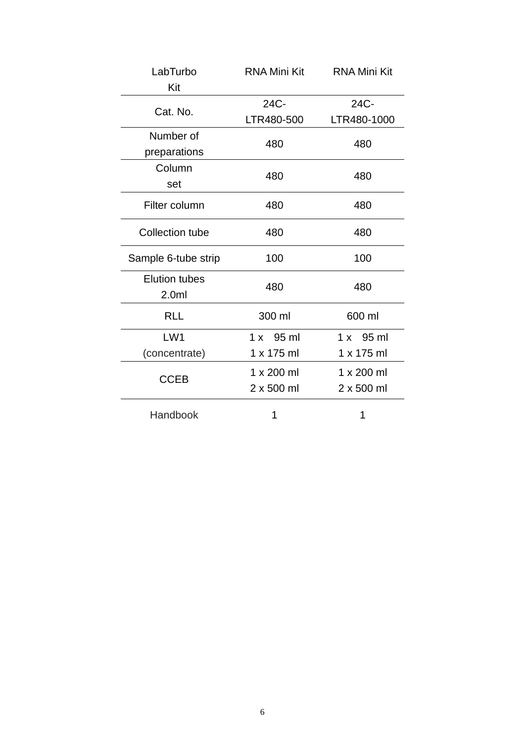| LabTurbo               | <b>RNA Mini Kit</b> | <b>RNA Mini Kit</b> |  |
|------------------------|---------------------|---------------------|--|
| Kit                    |                     |                     |  |
| Cat. No.               | 24C-                | 24C-                |  |
|                        | LTR480-500          | LTR480-1000         |  |
| Number of              | 480                 | 480                 |  |
| preparations           |                     |                     |  |
| Column                 | 480                 | 480                 |  |
| set                    |                     |                     |  |
| Filter column          | 480                 | 480                 |  |
| <b>Collection tube</b> | 480                 | 480                 |  |
| Sample 6-tube strip    | 100                 | 100                 |  |
| <b>Elution tubes</b>   | 480                 | 480                 |  |
| 2.0 <sub>m</sub>       |                     |                     |  |
| <b>RLL</b>             | 300 ml              | 600 ml              |  |
| LW1                    | $1 \times 95$ ml    | $1 \times 95$ ml    |  |
| (concentrate)          | 1 x 175 ml          | 1 x 175 ml          |  |
|                        | 1 x 200 ml          | 1 x 200 ml          |  |
| <b>CCEB</b>            | 2 x 500 ml          | 2 x 500 ml          |  |
| Handbook               | 1                   | 1                   |  |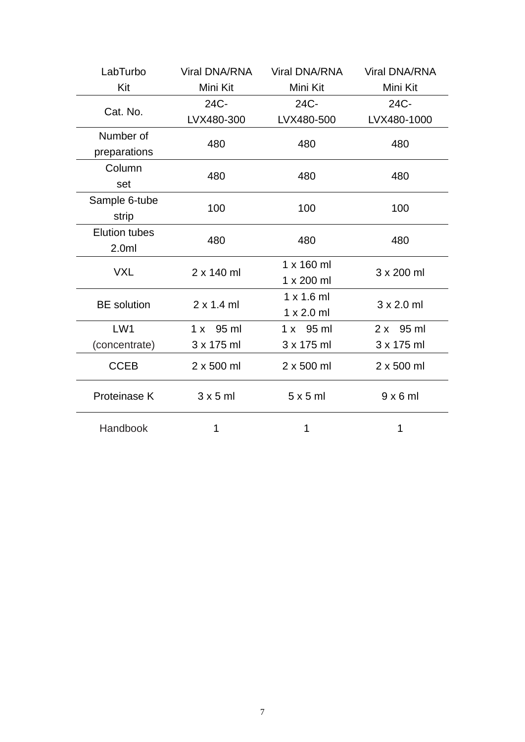| LabTurbo             | <b>Viral DNA/RNA</b> | <b>Viral DNA/RNA</b> | <b>Viral DNA/RNA</b> |  |
|----------------------|----------------------|----------------------|----------------------|--|
| Kit                  | Mini Kit             | Mini Kit             | Mini Kit             |  |
|                      | 24C-                 | 24C-                 | 24C-                 |  |
| Cat. No.             | LVX480-300           | LVX480-500           | LVX480-1000          |  |
| Number of            | 480                  | 480                  | 480                  |  |
| preparations         |                      |                      |                      |  |
| Column               | 480                  | 480                  | 480                  |  |
| set                  |                      |                      |                      |  |
| Sample 6-tube        | 100                  | 100                  | 100                  |  |
| strip                |                      |                      |                      |  |
| <b>Elution tubes</b> | 480                  | 480                  | 480                  |  |
| 2.0 <sub>m</sub>     |                      |                      |                      |  |
| <b>VXL</b>           | $2 \times 140$ ml    | $1 \times 160$ ml    | 3 x 200 ml           |  |
|                      |                      | 1 x 200 ml           |                      |  |
| <b>BE</b> solution   | $2 \times 1.4$ ml    | $1 \times 1.6$ ml    | $3 \times 2.0$ ml    |  |
|                      |                      |                      |                      |  |
| LW <sub>1</sub>      | $1 \times 95$ ml     | $1 \times 95$ ml     | $2x$ 95 ml           |  |
| (concentrate)        | 3 x 175 ml           | 3 x 175 ml           | 3 x 175 ml           |  |
| <b>CCEB</b>          | 2 x 500 ml           | 2 x 500 ml           | 2 x 500 ml           |  |
| Proteinase K         | $3 \times 5$ ml      | 5x5m                 | $9 \times 6$ ml      |  |
| Handbook             | 1                    | 1                    | 1                    |  |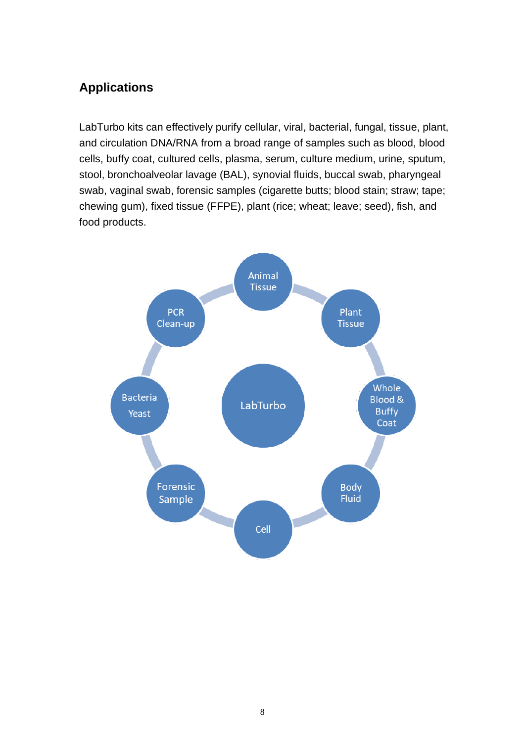# <span id="page-7-0"></span>**Applications**

LabTurbo kits can effectively purify cellular, viral, bacterial, fungal, tissue, plant, and circulation DNA/RNA from a broad range of samples such as blood, blood cells, buffy coat, cultured cells, plasma, serum, culture medium, urine, sputum, stool, bronchoalveolar lavage (BAL), synovial fluids, buccal swab, pharyngeal swab, vaginal swab, forensic samples (cigarette butts; blood stain; straw; tape; chewing gum), fixed tissue (FFPE), plant (rice; wheat; leave; seed), fish, and food products.

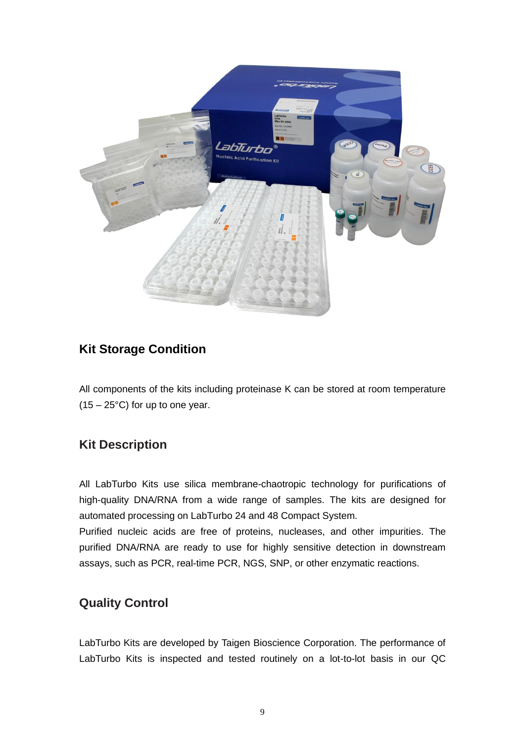

# <span id="page-8-0"></span>**Kit Storage Condition**

All components of the kits including proteinase K can be stored at room temperature  $(15 - 25^{\circ}C)$  for up to one year.

## <span id="page-8-1"></span>**Kit Description**

All LabTurbo Kits use silica membrane-chaotropic technology for purifications of high-quality DNA/RNA from a wide range of samples. The kits are designed for automated processing on LabTurbo 24 and 48 Compact System.

Purified nucleic acids are free of proteins, nucleases, and other impurities. The purified DNA/RNA are ready to use for highly sensitive detection in downstream assays, such as PCR, real-time PCR, NGS, SNP, or other enzymatic reactions.

## <span id="page-8-2"></span>**Quality Control**

LabTurbo Kits are developed by Taigen Bioscience Corporation. The performance of LabTurbo Kits is inspected and tested routinely on a lot-to-lot basis in our QC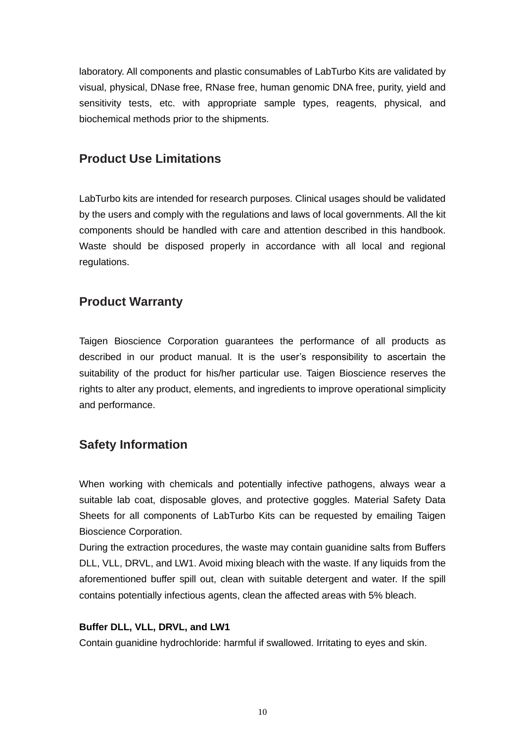laboratory. All components and plastic consumables of LabTurbo Kits are validated by visual, physical, DNase free, RNase free, human genomic DNA free, purity, yield and sensitivity tests, etc. with appropriate sample types, reagents, physical, and biochemical methods prior to the shipments.

### <span id="page-9-0"></span>**Product Use Limitations**

LabTurbo kits are intended for research purposes. Clinical usages should be validated by the users and comply with the regulations and laws of local governments. All the kit components should be handled with care and attention described in this handbook. Waste should be disposed properly in accordance with all local and regional regulations.

### <span id="page-9-1"></span>**Product Warranty**

Taigen Bioscience Corporation guarantees the performance of all products as described in our product manual. It is the user's responsibility to ascertain the suitability of the product for his/her particular use. Taigen Bioscience reserves the rights to alter any product, elements, and ingredients to improve operational simplicity and performance.

## <span id="page-9-2"></span>**Safety Information**

When working with chemicals and potentially infective pathogens, always wear a suitable lab coat, disposable gloves, and protective goggles. Material Safety Data Sheets for all components of LabTurbo Kits can be requested by emailing Taigen Bioscience Corporation.

During the extraction procedures, the waste may contain guanidine salts from Buffers DLL, VLL, DRVL, and LW1. Avoid mixing bleach with the waste. If any liquids from the aforementioned buffer spill out, clean with suitable detergent and water. If the spill contains potentially infectious agents, clean the affected areas with 5% bleach.

#### **Buffer DLL, VLL, DRVL, and LW1**

Contain guanidine hydrochloride: harmful if swallowed. Irritating to eyes and skin.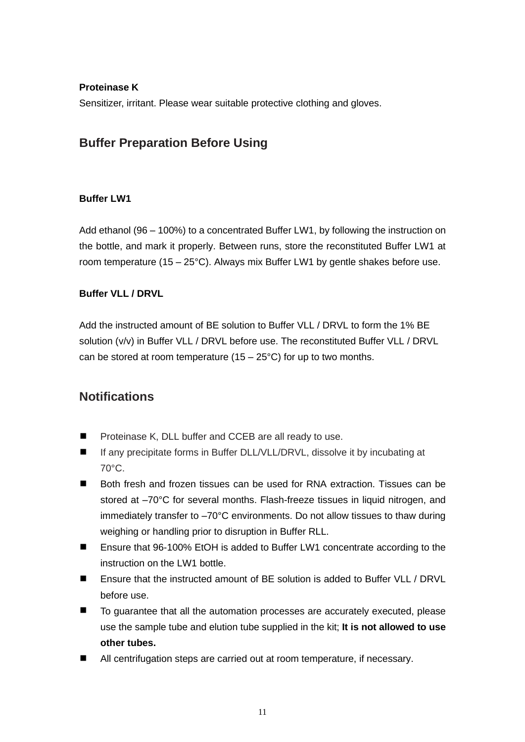#### **Proteinase K**

<span id="page-10-0"></span>Sensitizer, irritant. Please wear suitable protective clothing and gloves.

## **Buffer Preparation Before Using**

#### **Buffer LW1**

Add ethanol (96 – 100%) to a concentrated Buffer LW1, by following the instruction on the bottle, and mark it properly. Between runs, store the reconstituted Buffer LW1 at room temperature (15 – 25°C). Always mix Buffer LW1 by gentle shakes before use.

#### **Buffer VLL / DRVL**

Add the instructed amount of BE solution to Buffer VLL / DRVL to form the 1% BE solution (v/v) in Buffer VLL / DRVL before use. The reconstituted Buffer VLL / DRVL can be stored at room temperature  $(15 - 25^{\circ}C)$  for up to two months.

### <span id="page-10-1"></span>**Notifications**

- $\blacksquare$ Proteinase K, DLL buffer and CCEB are all ready to use.
- If any precipitate forms in Buffer DLL/VLL/DRVL, dissolve it by incubating at 70°C.
- $\blacksquare$ Both fresh and frozen tissues can be used for RNA extraction. Tissues can be stored at –70°C for several months. Flash-freeze tissues in liquid nitrogen, and immediately transfer to –70°C environments. Do not allow tissues to thaw during weighing or handling prior to disruption in Buffer RLL.
- $\blacksquare$ Ensure that 96-100% EtOH is added to Buffer LW1 concentrate according to the instruction on the LW1 bottle.
- Ensure that the instructed amount of BE solution is added to Buffer VLL / DRVL before use.
- To guarantee that all the automation processes are accurately executed, please use the sample tube and elution tube supplied in the kit; **It is not allowed to use other tubes.**
- All centrifugation steps are carried out at room temperature, if necessary.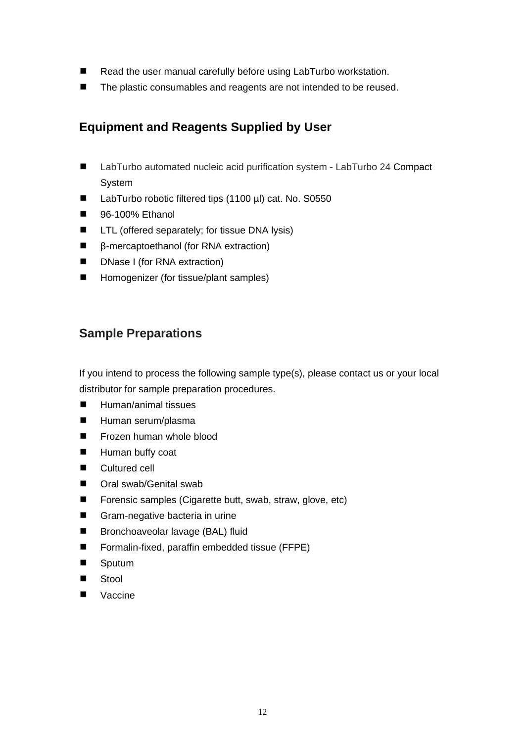- $\blacksquare$ Read the user manual carefully before using LabTurbo workstation.
- <span id="page-11-0"></span>The plastic consumables and reagents are not intended to be reused.

# **Equipment and Reagents Supplied by User**

- $\blacksquare$ LabTurbo automated nucleic acid purification system - LabTurbo 24 Compact System
- LabTurbo robotic filtered tips (1100 µl) cat. No. S0550  $\blacksquare$
- $\blacksquare$ 96-100% Ethanol
- LTL (offered separately; for tissue DNA lysis)  $\blacksquare$
- $\blacksquare$ β-mercaptoethanol (for RNA extraction)
- $\blacksquare$ DNase I (for RNA extraction)
- $\blacksquare$ Homogenizer (for tissue/plant samples)

### <span id="page-11-1"></span>**Sample Preparations**

If you intend to process the following sample type(s), please contact us or your local distributor for sample preparation procedures.

- $\blacksquare$ Human/animal tissues
- $\blacksquare$ Human serum/plasma
- Frozen human whole blood  $\blacksquare$
- $\blacksquare$ Human buffy coat
- $\blacksquare$ Cultured cell
- $\blacksquare$ Oral swab/Genital swab
- $\blacksquare$ Forensic samples (Cigarette butt, swab, straw, glove, etc)
- $\blacksquare$ Gram-negative bacteria in urine
- $\blacksquare$ Bronchoaveolar lavage (BAL) fluid
- $\blacksquare$ Formalin-fixed, paraffin embedded tissue (FFPE)
- $\blacksquare$ Sputum
- Stool  $\blacksquare$
- Vaccine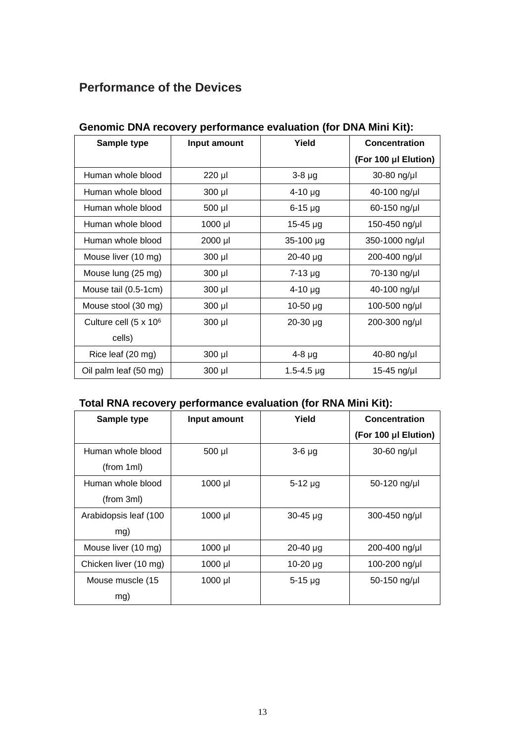# <span id="page-12-0"></span>**Performance of the Devices**

| Sample type                       | Input amount | Yield          | <b>Concentration</b> |
|-----------------------------------|--------------|----------------|----------------------|
|                                   |              |                | (For 100 µI Elution) |
| Human whole blood                 | 220 µl       | $3-8 \mu g$    | 30-80 ng/µl          |
| Human whole blood                 | $300$ $\mu$  | $4 - 10$ µg    | 40-100 ng/µl         |
| Human whole blood                 | 500 µl       | $6-15$ µg      | 60-150 ng/µl         |
| Human whole blood                 | 1000 µl      | $15 - 45$ µg   | 150-450 ng/µl        |
| Human whole blood                 | 2000 µl      | 35-100 µg      | 350-1000 ng/µl       |
| Mouse liver (10 mg)               | $300$ µl     | $20 - 40$ µg   | 200-400 ng/µl        |
| Mouse lung (25 mg)                | $300$ µl     | $7 - 13$ µg    | 70-130 ng/µl         |
| Mouse tail (0.5-1cm)              | $300$ µl     | $4-10 \mu g$   | 40-100 ng/µl         |
| Mouse stool (30 mg)               | $300$ µl     | $10-50 \mu g$  | 100-500 ng/µl        |
| Culture cell (5 x 10 <sup>6</sup> | $300$ $\mu$  | $20 - 30$ µg   | 200-300 ng/µl        |
| cells)                            |              |                |                      |
| Rice leaf (20 mg)                 | $300$ $\mu$  | $4-8$ µg       | 40-80 ng/µl          |
| Oil palm leaf (50 mg)             | 300 µl       | $1.5 - 4.5$ µg | 15-45 ng/µl          |

### <span id="page-12-1"></span>**Genomic DNA recovery performance evaluation (for DNA Mini Kit):**

## **Total RNA recovery performance evaluation (for RNA Mini Kit):**

| Sample type           | Input amount | Yield         | Concentration        |
|-----------------------|--------------|---------------|----------------------|
|                       |              |               | (For 100 µl Elution) |
| Human whole blood     | 500 µl       | $3-6$ $\mu$ g | $30-60$ ng/µl        |
| (from 1ml)            |              |               |                      |
| Human whole blood     | 1000 µl      | $5-12 \mu g$  | 50-120 ng/µl         |
| (from 3ml)            |              |               |                      |
| Arabidopsis leaf (100 | $1000$ µl    | $30 - 45$ µg  | 300-450 ng/µl        |
| mg)                   |              |               |                      |
| Mouse liver (10 mg)   | 1000 µl      | $20 - 40$ µg  | 200-400 ng/µl        |
| Chicken liver (10 mg) | 1000 µl      | $10-20 \mu g$ | 100-200 ng/µl        |
| Mouse muscle (15      | 1000 µl      | $5 - 15$ µg   | 50-150 ng/µl         |
| mg)                   |              |               |                      |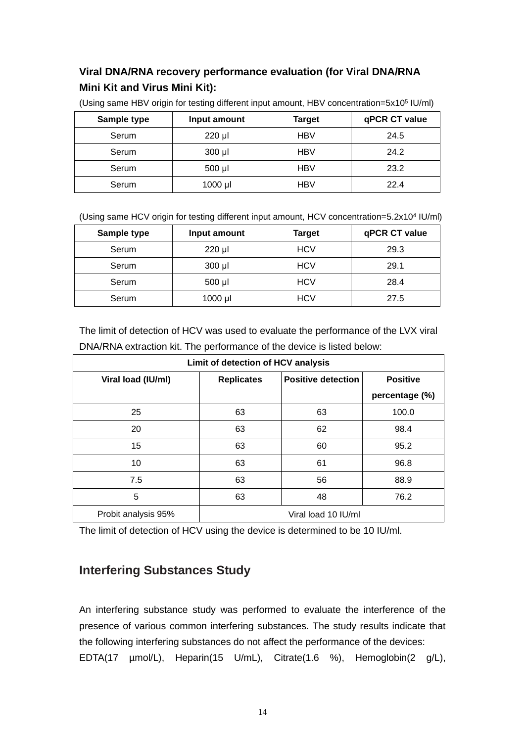### **Viral DNA/RNA recovery performance evaluation (for Viral DNA/RNA Mini Kit and Virus Mini Kit):**

| Sample type | Input amount | <b>Target</b> | qPCR CT value |
|-------------|--------------|---------------|---------------|
| Serum       | 220 µl       | <b>HBV</b>    | 24.5          |
| Serum       | $300$ $\mu$  | <b>HBV</b>    | 24.2          |
| Serum       | $500$ µl     | <b>HBV</b>    | 23.2          |
| Serum       | 1000 µl      | <b>HBV</b>    | 22.4          |

(Using same HBV origin for testing different input amount, HBV concentration=5x10<sup>5</sup> IU/ml)

(Using same HCV origin for testing different input amount, HCV concentration=5.2x10<sup>4</sup> IU/ml)

| Sample type | Input amount | Target     | qPCR CT value |
|-------------|--------------|------------|---------------|
| Serum       | $220$ µl     | <b>HCV</b> | 29.3          |
| Serum       | 300 µl       | <b>HCV</b> | 29.1          |
| Serum       | 500 µl       | <b>HCV</b> | 28.4          |
| Serum       | $1000$ $\mu$ | <b>HCV</b> | 27.5          |

The limit of detection of HCV was used to evaluate the performance of the LVX viral DNA/RNA extraction kit. The performance of the device is listed below:

| Limit of detection of HCV analysis |                     |                           |                 |  |
|------------------------------------|---------------------|---------------------------|-----------------|--|
| Viral load (IU/ml)                 | <b>Replicates</b>   | <b>Positive detection</b> | <b>Positive</b> |  |
|                                    |                     |                           | percentage (%)  |  |
| 25                                 | 63                  | 63                        | 100.0           |  |
| 20                                 | 63                  | 62                        | 98.4            |  |
| 15                                 | 63                  | 60                        | 95.2            |  |
| 10                                 | 63                  | 61                        | 96.8            |  |
| 7.5                                | 63                  | 56                        | 88.9            |  |
| 5                                  | 63                  | 48                        | 76.2            |  |
| Probit analysis 95%                | Viral load 10 IU/ml |                           |                 |  |

The limit of detection of HCV using the device is determined to be 10 IU/ml.

## **Interfering Substances Study**

An interfering substance study was performed to evaluate the interference of the presence of various common interfering substances. The study results indicate that the following interfering substances do not affect the performance of the devices: EDTA(17 µmol/L), Heparin(15 U/mL), Citrate(1.6 %), Hemoglobin(2 g/L),